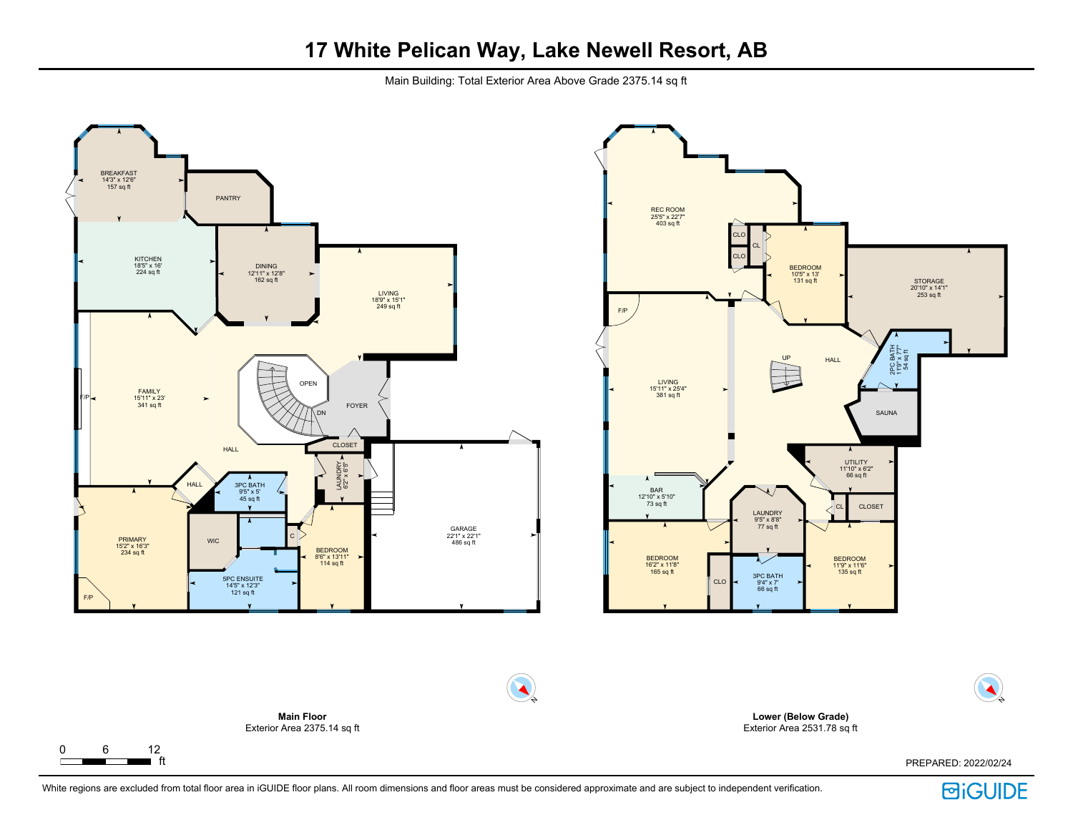Main Building: Total Exterior Area Above Grade 2375.14 sq ft



**回iGUIDE**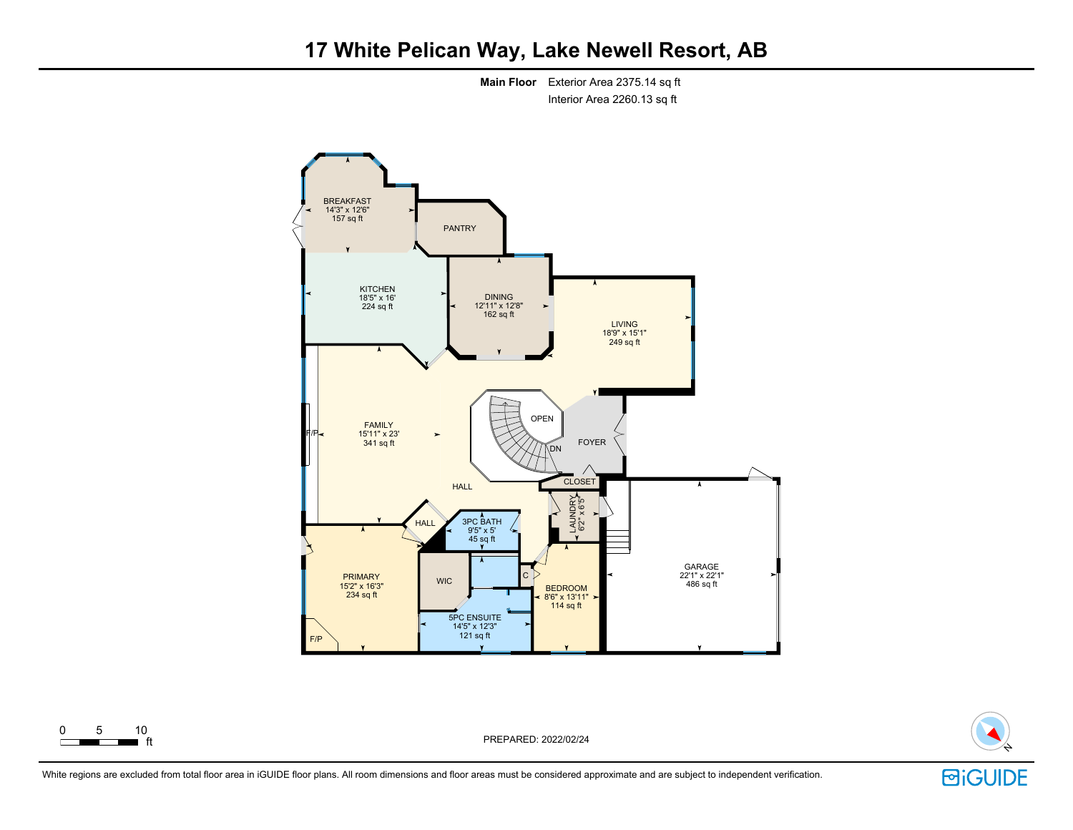

**Main Floor** Exterior Area 2375.14 sq ft Interior Area 2260.13 sq ft



ft PREPARED: 2022/02/24

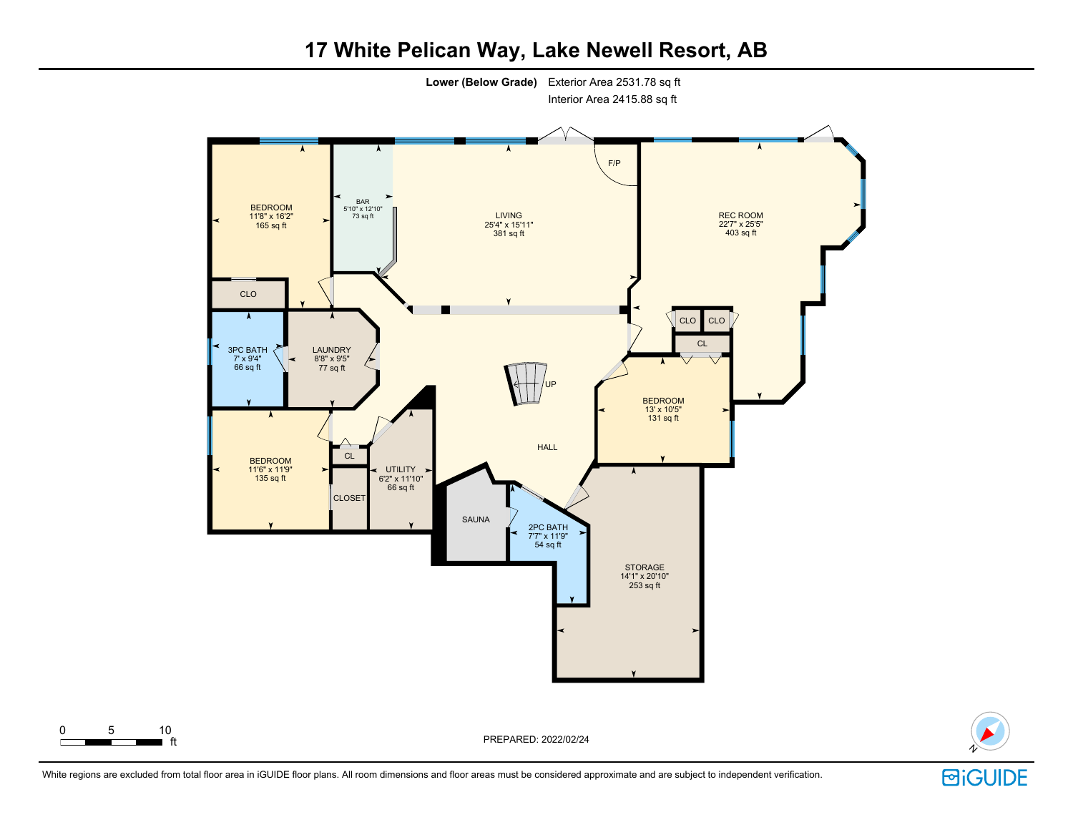

**17 White Pelican Way, Lake Newell Resort, AB**



ft PREPARED: 2022/02/24

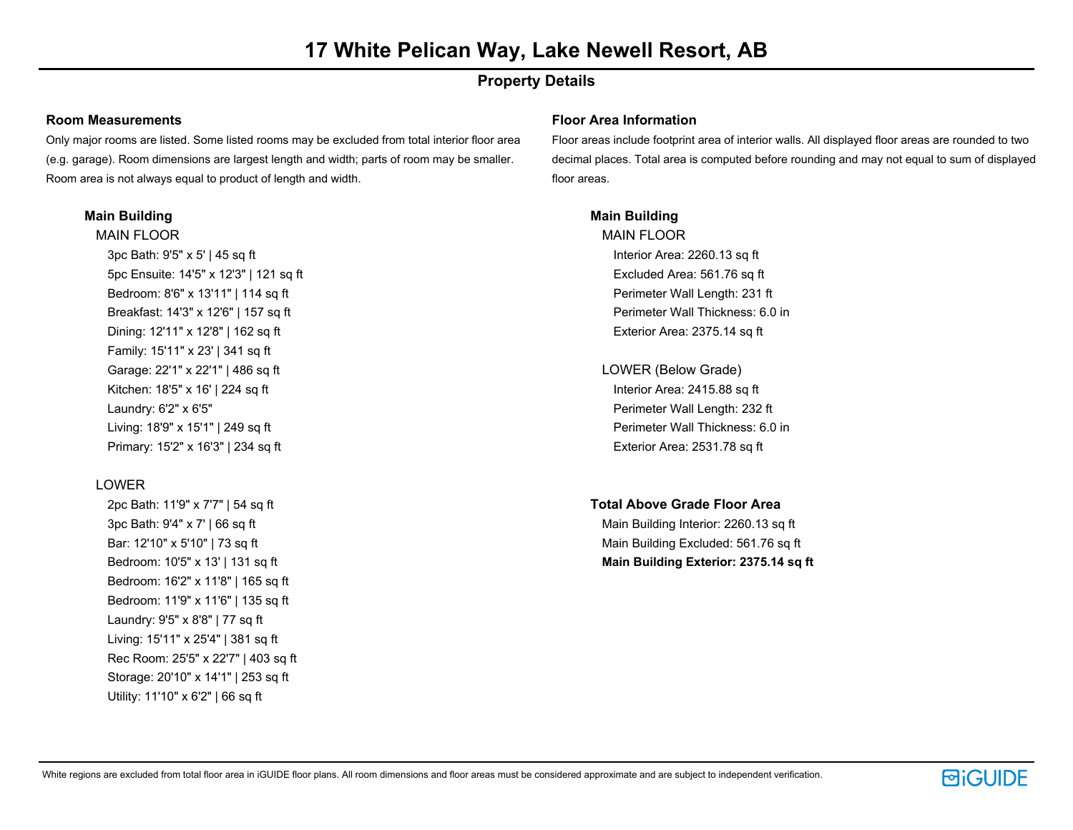# **Property Details**

### **Room Measurements**

Only major rooms are listed. Some listed rooms may be excluded from total interior floor area (e.g. garage). Room dimensions are largest length and width; parts of room may be smaller. Room area is not always equal to product of length and width.

### **Main Building**

MAIN FLOOR 3pc Bath: 9'5" x 5' | 45 sq ft 5pc Ensuite: 14'5" x 12'3" | 121 sq ft Bedroom: 8'6" x 13'11" | 114 sq ft Breakfast: 14'3" x 12'6" | 157 sq ft Dining: 12'11" x 12'8" | 162 sq ft Family: 15'11" x 23' | 341 sq ft Garage: 22'1" x 22'1" | 486 sq ft Kitchen: 18'5" x 16' | 224 sq ft Laundry: 6'2" x 6'5" Living: 18'9" x 15'1" | 249 sq ft Primary: 15'2" x 16'3" | 234 sq ft

# LOWER

2pc Bath: 11'9" x 7'7" | 54 sq ft 3pc Bath: 9'4" x 7' | 66 sq ft Bar: 12'10" x 5'10" | 73 sq ft Bedroom: 10'5" x 13' | 131 sq ft Bedroom: 16'2" x 11'8" | 165 sq ft Bedroom: 11'9" x 11'6" | 135 sq ft Laundry: 9'5" x 8'8" | 77 sq ft Living: 15'11" x 25'4" | 381 sq ft Rec Room: 25'5" x 22'7" | 403 sq ft Storage: 20'10" x 14'1" | 253 sq ft Utility: 11'10" x 6'2" | 66 sq ft

### **Floor Area Information**

Floor areas include footprint area of interior walls. All displayed floor areas are rounded to two decimal places. Total area is computed before rounding and may not equal to sum of displayed floor areas.

# **Main Building**

MAIN FLOOR Interior Area: 2260.13 sq ft Excluded Area: 561.76 sq ft Perimeter Wall Length: 231 ft Perimeter Wall Thickness: 6.0 in Exterior Area: 2375.14 sq ft

- LOWER (Below Grade) Interior Area: 2415.88 sq ft Perimeter Wall Length: 232 ft Perimeter Wall Thickness: 6.0 in Exterior Area: 2531.78 sq ft
- **Total Above Grade Floor Area**

Main Building Interior: 2260.13 sq ft Main Building Excluded: 561.76 sq ft **Main Building Exterior: 2375.14 sq ft**